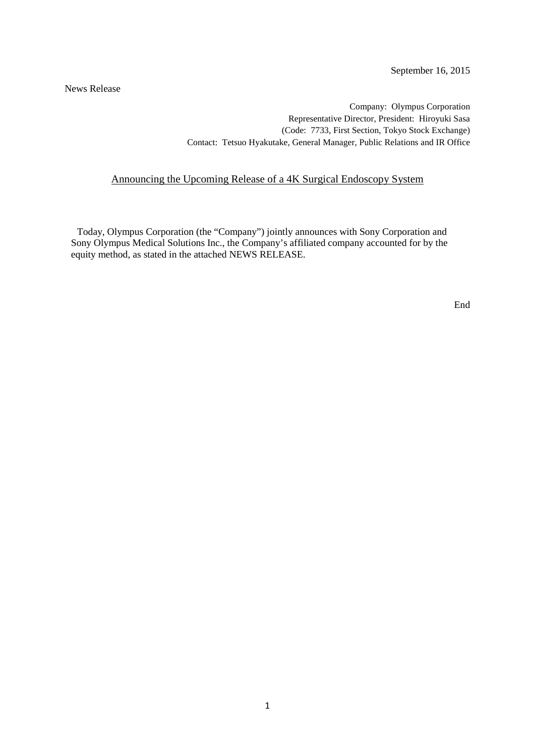News Release

Company: Olympus Corporation Representative Director, President: Hiroyuki Sasa (Code: 7733, First Section, Tokyo Stock Exchange) Contact: Tetsuo Hyakutake, General Manager, Public Relations and IR Office

#### Announcing the Upcoming Release of a 4K Surgical Endoscopy System

 Today, Olympus Corporation (the "Company") jointly announces with Sony Corporation and Sony Olympus Medical Solutions Inc., the Company's affiliated company accounted for by the equity method, as stated in the attached NEWS RELEASE.

End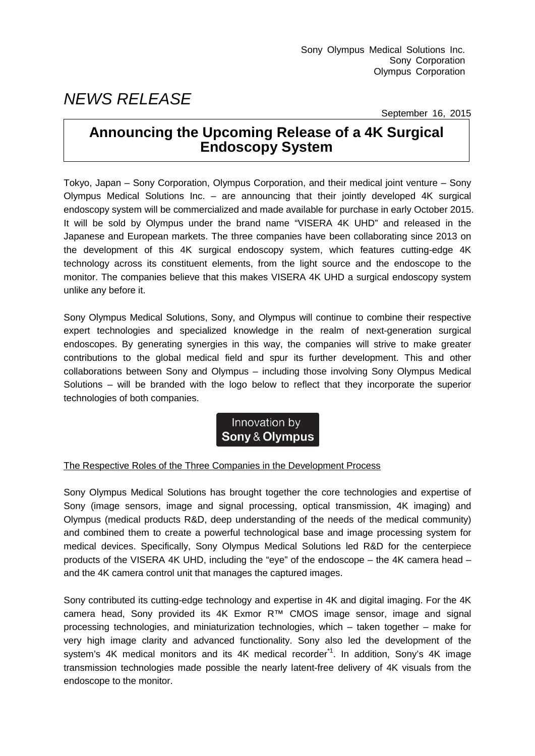# *NEWS RELEASE*

September 16, 2015

# **Announcing the Upcoming Release of a 4K Surgical Endoscopy System**

Tokyo, Japan – Sony Corporation, Olympus Corporation, and their medical joint venture – Sony Olympus Medical Solutions Inc. – are announcing that their jointly developed 4K surgical endoscopy system will be commercialized and made available for purchase in early October 2015. It will be sold by Olympus under the brand name "VISERA 4K UHD" and released in the Japanese and European markets. The three companies have been collaborating since 2013 on the development of this 4K surgical endoscopy system, which features cutting-edge 4K technology across its constituent elements, from the light source and the endoscope to the monitor. The companies believe that this makes VISERA 4K UHD a surgical endoscopy system unlike any before it.

Sony Olympus Medical Solutions, Sony, and Olympus will continue to combine their respective expert technologies and specialized knowledge in the realm of next-generation surgical endoscopes. By generating synergies in this way, the companies will strive to make greater contributions to the global medical field and spur its further development. This and other collaborations between Sony and Olympus – including those involving Sony Olympus Medical Solutions – will be branded with the logo below to reflect that they incorporate the superior technologies of both companies.

## Innovation by Sony & Olympus

### The Respective Roles of the Three Companies in the Development Process

Sony Olympus Medical Solutions has brought together the core technologies and expertise of Sony (image sensors, image and signal processing, optical transmission, 4K imaging) and Olympus (medical products R&D, deep understanding of the needs of the medical community) and combined them to create a powerful technological base and image processing system for medical devices. Specifically, Sony Olympus Medical Solutions led R&D for the centerpiece products of the VISERA 4K UHD, including the "eye" of the endoscope – the 4K camera head – and the 4K camera control unit that manages the captured images.

Sony contributed its cutting-edge technology and expertise in 4K and digital imaging. For the 4K camera head, Sony provided its 4K Exmor R™ CMOS image sensor, image and signal processing technologies, and miniaturization technologies, which – taken together – make for very high image clarity and advanced functionality. Sony also led the development of the system's 4K medical monitors and its 4K medical recorder<sup>\*1</sup>. In addition, Sony's 4K image transmission technologies made possible the nearly latent-free delivery of 4K visuals from the endoscope to the monitor.